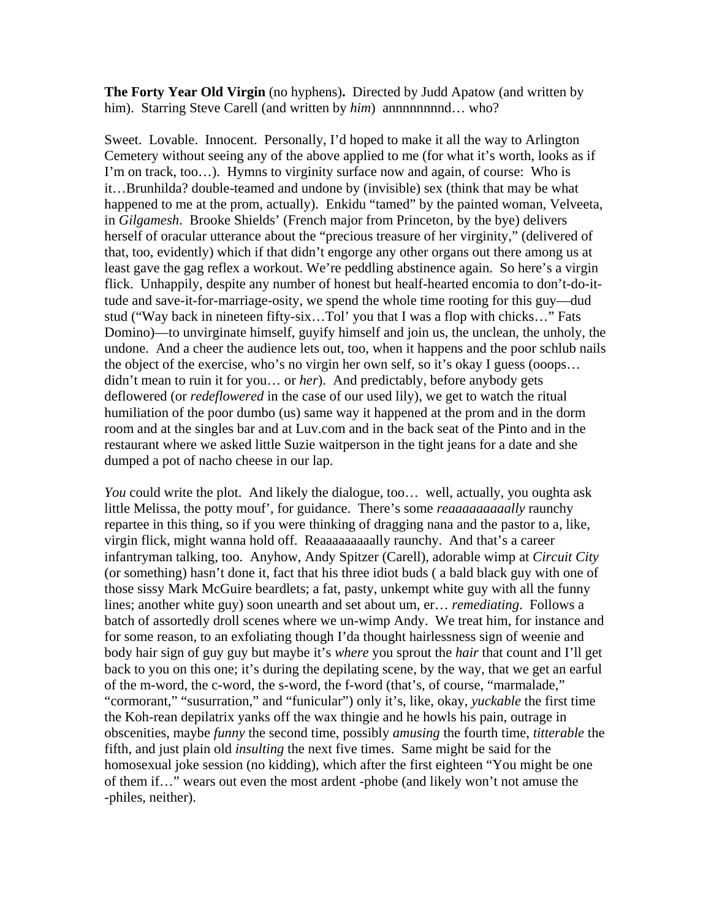**The Forty Year Old Virgin** (no hyphens)**.** Directed by Judd Apatow (and written by him). Starring Steve Carell (and written by *him*) annnnnnnnd... who?

Sweet. Lovable. Innocent. Personally, I'd hoped to make it all the way to Arlington Cemetery without seeing any of the above applied to me (for what it's worth, looks as if I'm on track, too…). Hymns to virginity surface now and again, of course: Who is it…Brunhilda? double-teamed and undone by (invisible) sex (think that may be what happened to me at the prom, actually). Enkidu "tamed" by the painted woman, Velveeta, in *Gilgamesh*. Brooke Shields' (French major from Princeton, by the bye) delivers herself of oracular utterance about the "precious treasure of her virginity," (delivered of that, too, evidently) which if that didn't engorge any other organs out there among us at least gave the gag reflex a workout. We're peddling abstinence again. So here's a virgin flick. Unhappily, despite any number of honest but healf-hearted encomia to don't-do-ittude and save-it-for-marriage-osity, we spend the whole time rooting for this guy—dud stud ("Way back in nineteen fifty-six…Tol' you that I was a flop with chicks…" Fats Domino)—to unvirginate himself, guyify himself and join us, the unclean, the unholy, the undone. And a cheer the audience lets out, too, when it happens and the poor schlub nails the object of the exercise, who's no virgin her own self, so it's okay I guess (ooops… didn't mean to ruin it for you… or *her*). And predictably, before anybody gets deflowered (or *redeflowered* in the case of our used lily), we get to watch the ritual humiliation of the poor dumbo (us) same way it happened at the prom and in the dorm room and at the singles bar and at Luv.com and in the back seat of the Pinto and in the restaurant where we asked little Suzie waitperson in the tight jeans for a date and she dumped a pot of nacho cheese in our lap.

*You* could write the plot. And likely the dialogue, too... well, actually, you oughta ask little Melissa, the potty mouf', for guidance. There's some *reaaaaaaaaally* raunchy repartee in this thing, so if you were thinking of dragging nana and the pastor to a, like, virgin flick, might wanna hold off. Reaaaaaaaaally raunchy. And that's a career infantryman talking, too. Anyhow, Andy Spitzer (Carell), adorable wimp at *Circuit City*  (or something) hasn't done it, fact that his three idiot buds ( a bald black guy with one of those sissy Mark McGuire beardlets; a fat, pasty, unkempt white guy with all the funny lines; another white guy) soon unearth and set about um, er… *remediating*. Follows a batch of assortedly droll scenes where we un-wimp Andy. We treat him, for instance and for some reason, to an exfoliating though I'da thought hairlessness sign of weenie and body hair sign of guy guy but maybe it's *where* you sprout the *hair* that count and I'll get back to you on this one; it's during the depilating scene, by the way, that we get an earful of the m-word, the c-word, the s-word, the f-word (that's, of course, "marmalade," "cormorant," "susurration," and "funicular") only it's, like, okay, *yuckable* the first time the Koh-rean depilatrix yanks off the wax thingie and he howls his pain, outrage in obscenities, maybe *funny* the second time, possibly *amusing* the fourth time, *titterable* the fifth, and just plain old *insulting* the next five times. Same might be said for the homosexual joke session (no kidding), which after the first eighteen "You might be one of them if…" wears out even the most ardent -phobe (and likely won't not amuse the -philes, neither).